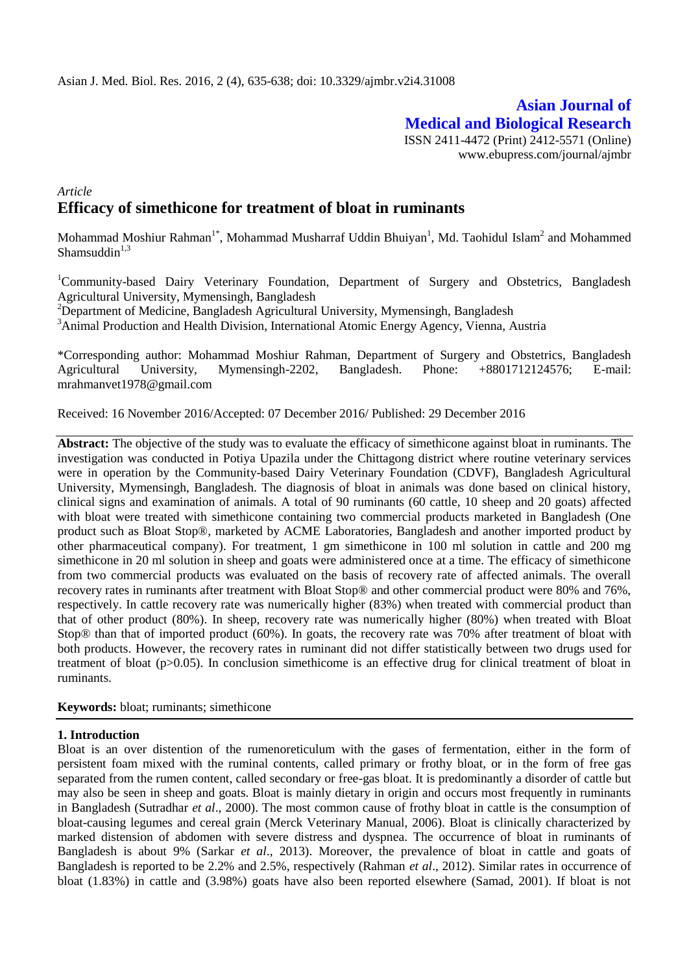## **Asian Journal of Medical and Biological Research** ISSN 2411-4472 (Print) 2412-5571 (Online) www.ebupress.com/journal/ajmbr

# *Article* **Efficacy of simethicone for treatment of bloat in ruminants**

Mohammad Moshiur Rahman<sup>1\*</sup>, Mohammad Musharraf Uddin Bhuiyan<sup>1</sup>, Md. Taohidul Islam<sup>2</sup> and Mohammed Shamsuddin $1,3$ 

<sup>1</sup>Community-based Dairy Veterinary Foundation, Department of Surgery and Obstetrics, Bangladesh Agricultural University, Mymensingh, Bangladesh

<sup>2</sup>Department of Medicine, Bangladesh Agricultural University, Mymensingh, Bangladesh

<sup>3</sup>Animal Production and Health Division, International Atomic Energy Agency, Vienna, Austria

\*Corresponding author: Mohammad Moshiur Rahman, Department of Surgery and Obstetrics, Bangladesh Agricultural University, Mymensingh-2202, Bangladesh. Phone: +8801712124576; E-mail: mrahmanvet1978@gmail.com

Received: 16 November 2016/Accepted: 07 December 2016/ Published: 29 December 2016

**Abstract:** The objective of the study was to evaluate the efficacy of simethicone against bloat in ruminants. The investigation was conducted in Potiya Upazila under the Chittagong district where routine veterinary services were in operation by the Community-based Dairy Veterinary Foundation (CDVF), Bangladesh Agricultural University, Mymensingh, Bangladesh. The diagnosis of bloat in animals was done based on clinical history, clinical signs and examination of animals. A total of 90 ruminants (60 cattle, 10 sheep and 20 goats) affected with bloat were treated with simethicone containing two commercial products marketed in Bangladesh (One product such as Bloat Stop®, marketed by ACME Laboratories, Bangladesh and another imported product by other pharmaceutical company). For treatment, 1 gm simethicone in 100 ml solution in cattle and 200 mg simethicone in 20 ml solution in sheep and goats were administered once at a time. The efficacy of simethicone from two commercial products was evaluated on the basis of recovery rate of affected animals. The overall recovery rates in ruminants after treatment with Bloat Stop® and other commercial product were 80% and 76%, respectively. In cattle recovery rate was numerically higher (83%) when treated with commercial product than that of other product (80%). In sheep, recovery rate was numerically higher (80%) when treated with Bloat Stop® than that of imported product (60%). In goats, the recovery rate was 70% after treatment of bloat with both products. However, the recovery rates in ruminant did not differ statistically between two drugs used for treatment of bloat (p>0.05). In conclusion simethicome is an effective drug for clinical treatment of bloat in ruminants.

#### **Keywords:** bloat; ruminants; simethicone

## **1. Introduction**

Bloat is an over distention of the rumenoreticulum with the gases of fermentation, either in the form of persistent foam mixed with the ruminal contents, called primary or frothy bloat, or in the form of free gas separated from the rumen content, called secondary or free-gas bloat. It is predominantly a disorder of cattle but may also be seen in sheep and goats. Bloat is mainly dietary in origin and occurs most frequently in ruminants in Bangladesh (Sutradhar *et al*., 2000). The most common cause of frothy bloat in cattle is the consumption of bloat-causing legumes and cereal grain (Merck Veterinary Manual, 2006). Bloat is clinically characterized by marked distension of abdomen with severe distress and dyspnea. The occurrence of bloat in ruminants of Bangladesh is about 9% (Sarkar *et al*., 2013). Moreover, the prevalence of bloat in cattle and goats of Bangladesh is reported to be 2.2% and 2.5%, respectively (Rahman *et al*., 2012). Similar rates in occurrence of bloat (1.83%) in cattle and (3.98%) goats have also been reported elsewhere (Samad, 2001). If bloat is not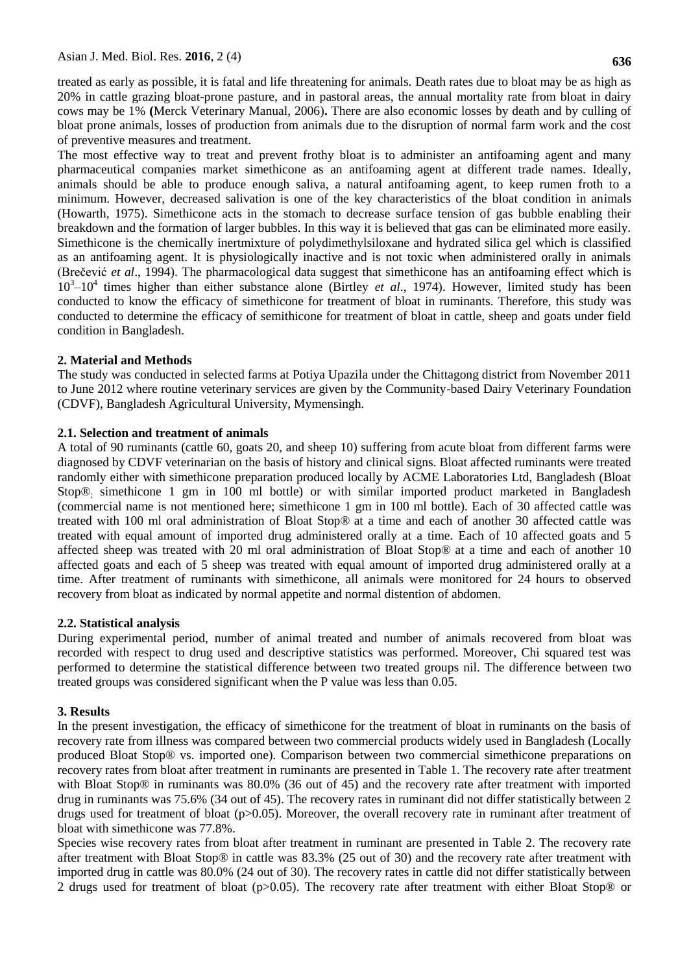treated as early as possible, it is fatal and life threatening for animals. Death rates due to bloat may be as high as 20% in cattle grazing bloat-prone pasture, and in pastoral areas, the annual mortality rate from bloat in dairy cows may be 1% **(**Merck Veterinary Manual, 2006)**.** There are also economic losses by death and by culling of bloat prone animals, losses of production from animals due to the disruption of normal farm work and the cost of preventive measures and treatment.

The most effective way to treat and prevent frothy bloat is to administer an antifoaming agent and many pharmaceutical companies market simethicone as an antifoaming agent at different trade names. Ideally, animals should be able to produce enough saliva, a natural antifoaming agent, to keep rumen froth to a minimum. However, decreased salivation is one of the key characteristics of the bloat condition in animals (Howarth, 1975). Simethicone acts in the stomach to decrease surface tension of gas bubble enabling their breakdown and the formation of larger bubbles. In this way it is believed that gas can be eliminated more easily. Simethicone is the chemically inertmixture of polydimethylsiloxane and hydrated silica gel which is classified as an antifoaming agent. It is physiologically inactive and is not toxic when administered orally in animals (Brečević *et al*., 1994). The pharmacological data suggest that simethicone has an antifoaming effect which is  $10^3 - 10^4$  times higher than either substance alone (Birtley *et al.*, 1974). However, limited study has been conducted to know the efficacy of simethicone for treatment of bloat in ruminants. Therefore, this study was conducted to determine the efficacy of semithicone for treatment of bloat in cattle, sheep and goats under field condition in Bangladesh.

#### **2. Material and Methods**

The study was conducted in selected farms at Potiya Upazila under the Chittagong district from November 2011 to June 2012 where routine veterinary services are given by the Community-based Dairy Veterinary Foundation (CDVF), Bangladesh Agricultural University, Mymensingh.

### **2.1. Selection and treatment of animals**

A total of 90 ruminants (cattle 60, goats 20, and sheep 10) suffering from acute bloat from different farms were diagnosed by CDVF veterinarian on the basis of history and clinical signs. Bloat affected ruminants were treated randomly either with simethicone preparation produced locally by ACME Laboratories Ltd, Bangladesh (Bloat Stop®; simethicone 1 gm in 100 ml bottle) or with similar imported product marketed in Bangladesh (commercial name is not mentioned here; simethicone 1 gm in 100 ml bottle). Each of 30 affected cattle was treated with 100 ml oral administration of Bloat Stop® at a time and each of another 30 affected cattle was treated with equal amount of imported drug administered orally at a time. Each of 10 affected goats and 5 affected sheep was treated with 20 ml oral administration of Bloat Stop® at a time and each of another 10 affected goats and each of 5 sheep was treated with equal amount of imported drug administered orally at a time. After treatment of ruminants with simethicone, all animals were monitored for 24 hours to observed recovery from bloat as indicated by normal appetite and normal distention of abdomen.

#### **2.2. Statistical analysis**

During experimental period, number of animal treated and number of animals recovered from bloat was recorded with respect to drug used and descriptive statistics was performed. Moreover, Chi squared test was performed to determine the statistical difference between two treated groups nil. The difference between two treated groups was considered significant when the P value was less than 0.05.

#### **3. Results**

In the present investigation, the efficacy of simethicone for the treatment of bloat in ruminants on the basis of recovery rate from illness was compared between two commercial products widely used in Bangladesh (Locally produced Bloat Stop® vs. imported one). Comparison between two commercial simethicone preparations on recovery rates from bloat after treatment in ruminants are presented in Table 1. The recovery rate after treatment with Bloat Stop® in ruminants was 80.0% (36 out of 45) and the recovery rate after treatment with imported drug in ruminants was 75.6% (34 out of 45). The recovery rates in ruminant did not differ statistically between 2 drugs used for treatment of bloat ( $p>0.05$ ). Moreover, the overall recovery rate in ruminant after treatment of bloat with simethicone was 77.8%.

Species wise recovery rates from bloat after treatment in ruminant are presented in Table 2. The recovery rate after treatment with Bloat Stop® in cattle was 83.3% (25 out of 30) and the recovery rate after treatment with imported drug in cattle was 80.0% (24 out of 30). The recovery rates in cattle did not differ statistically between 2 drugs used for treatment of bloat (p>0.05). The recovery rate after treatment with either Bloat Stop® or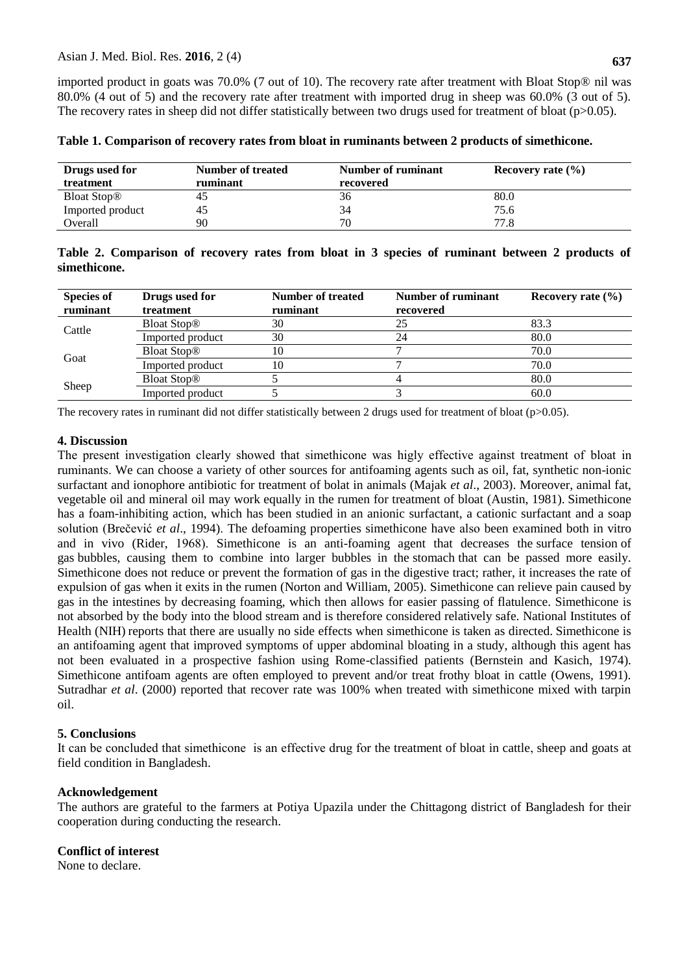imported product in goats was 70.0% (7 out of 10). The recovery rate after treatment with Bloat Stop® nil was 80.0% (4 out of 5) and the recovery rate after treatment with imported drug in sheep was 60.0% (3 out of 5). The recovery rates in sheep did not differ statistically between two drugs used for treatment of bloat ( $p>0.05$ ).

| Drugs used for                | Number of treated | Number of ruminant | Recovery rate $(\% )$ |  |  |  |  |
|-------------------------------|-------------------|--------------------|-----------------------|--|--|--|--|
| treatment                     | ruminant          | recovered          |                       |  |  |  |  |
| <b>Bloat Stop<sup>®</sup></b> | 45                | 36                 | 80.0                  |  |  |  |  |
| Imported product              |                   | 34                 | 75.6                  |  |  |  |  |
| Overall                       | 90                | 70                 | 77.8                  |  |  |  |  |

**Table 1. Comparison of recovery rates from bloat in ruminants between 2 products of simethicone.**

|              | Table 2. Comparison of recovery rates from bloat in 3 species of ruminant between 2 products of |  |  |  |  |  |  |  |
|--------------|-------------------------------------------------------------------------------------------------|--|--|--|--|--|--|--|
| simethicone. |                                                                                                 |  |  |  |  |  |  |  |

| <b>Species of</b><br>ruminant | Drugs used for<br>treatment   | <b>Number of treated</b><br>ruminant | Number of ruminant<br>recovered | Recovery rate $(\% )$ |
|-------------------------------|-------------------------------|--------------------------------------|---------------------------------|-----------------------|
| Cattle                        | <b>Bloat Stop®</b>            | 30                                   | 25                              | 83.3                  |
|                               | Imported product              | 30                                   | 24                              | 80.0                  |
| Goat                          | <b>Bloat Stop<sup>®</sup></b> | 10                                   |                                 | 70.0                  |
|                               | Imported product              | 10                                   |                                 | 70.0                  |
| Sheep                         | <b>Bloat Stop®</b>            |                                      |                                 | 80.0                  |
|                               | Imported product              |                                      |                                 | 60.0                  |

The recovery rates in ruminant did not differ statistically between 2 drugs used for treatment of bloat ( $p>0.05$ ).

## **4. Discussion**

The present investigation clearly showed that simethicone was higly effective against treatment of bloat in ruminants. We can choose a variety of other sources for antifoaming agents such as oil, fat, synthetic non-ionic surfactant and ionophore antibiotic for treatment of bolat in animals (Majak *et al*., 2003). Moreover, animal fat, vegetable oil and mineral oil may work equally in the rumen for treatment of bloat (Austin, 1981). Simethicone has a foam-inhibiting action, which has been studied in an anionic surfactant, a cationic surfactant and a soap solution (Brečević *et al*., 1994). The defoaming properties simethicone have also been examined both in vitro and in vivo (Rider, 1968). Simethicone is an anti-foaming agent that decreases the [surface tension](https://en.wikipedia.org/wiki/Surface_tension) of gas [bubbles,](https://en.wikipedia.org/wiki/Liquid_bubble) causing them to combine into larger bubbles in the [stomach](https://en.wikipedia.org/wiki/Stomach) that can be passed more easily. Simethicone does not reduce or prevent the formation of gas in the [digestive tract;](https://en.wikipedia.org/wiki/Gastrointestinal_tract) rather, it increases the rate of expulsion of gas when it exits in the rumen (Norton and William, 2005). Simethicone can relieve pain caused by gas in the intestines by decreasing foaming, which then allows for easier passing of [flatulence.](https://en.wikipedia.org/wiki/Flatulence) Simethicone is not absorbed by the body into the blood stream and is therefore considered relatively safe. National Institutes of Health (NIH) reports that there are usually no side effects when simethicone is taken as directed. Simethicone is an antifoaming agent that improved symptoms of upper abdominal bloating in a study, although this agent has not been evaluated in a prospective fashion using Rome-classified patients (Bernstein and Kasich, 1974). Simethicone antifoam agents are often employed to prevent and/or treat frothy bloat in cattle (Owens, 1991). Sutradhar *et al.* (2000) reported that recover rate was 100% when treated with simethicone mixed with tarpin oil.

## **5. Conclusions**

It can be concluded that simethicone is an effective drug for the treatment of bloat in cattle, sheep and goats at field condition in Bangladesh.

## **Acknowledgement**

The authors are grateful to the farmers at Potiya Upazila under the Chittagong district of Bangladesh for their cooperation during conducting the research.

## **Conflict of interest**

None to declare.